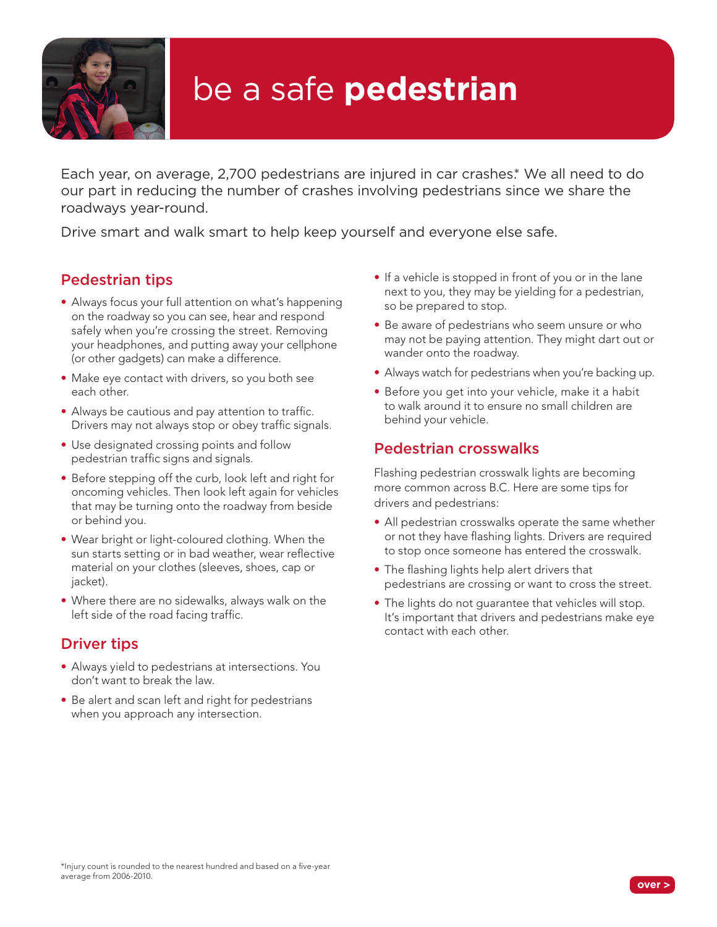

# be a safe **pedestrian**

Each year, on average, 2,700 pedestrians are injured in car crashes.\* We all need to do our part in reducing the number of crashes involving pedestrians since we share the roadways year-round.

Drive smart and walk smart to help keep yourself and everyone else safe.

# Pedestrian tips

- Always focus your full attention on what's happening on the roadway so you can see, hear and respond safely when you're crossing the street. Removing your headphones, and putting away your cellphone (or other gadgets) can make a difference.
- Make eye contact with drivers, so you both see each other.
- Always be cautious and pay attention to traffic. Drivers may not always stop or obey traffic signals.
- Use designated crossing points and follow pedestrian traffic signs and signals.
- Before stepping off the curb, look left and right for oncoming vehicles. Then look left again for vehicles that may be turning onto the roadway from beside or behind you.
- Wear bright or light-coloured clothing. When the sun starts setting or in bad weather, wear reflective material on your clothes (sleeves, shoes, cap or iacket).
- Where there are no sidewalks, always walk on the left side of the road facing traffic.

# Driver tips

- Always yield to pedestrians at intersections. You don't want to break the law.
- Be alert and scan left and right for pedestrians when you approach any intersection.
- If a vehicle is stopped in front of you or in the lane next to you, they may be yielding for a pedestrian, so be prepared to stop.
- Be aware of pedestrians who seem unsure or who may not be paying attention. They might dart out or wander onto the roadway.
- Always watch for pedestrians when you're backing up.
- Before you get into your vehicle, make it a habit to walk around it to ensure no small children are behind your vehicle.

# Pedestrian crosswalks

Flashing pedestrian crosswalk lights are becoming more common across B.C. Here are some tips for drivers and pedestrians:

- All pedestrian crosswalks operate the same whether or not they have flashing lights. Drivers are required to stop once someone has entered the crosswalk.
- The flashing lights help alert drivers that pedestrians are crossing or want to cross the street.
- The lights do not guarantee that vehicles will stop. It's important that drivers and pedestrians make eye contact with each other.